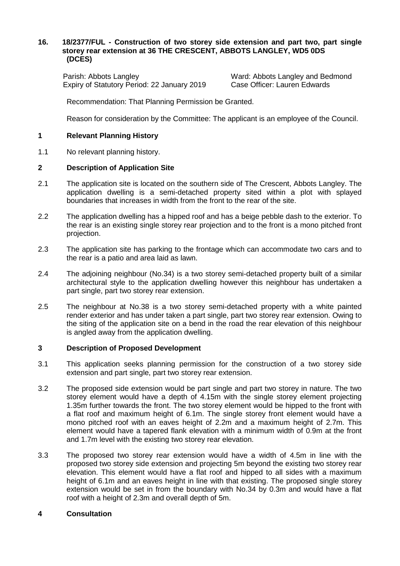### **16. 18/2377/FUL - Construction of two storey side extension and part two, part single storey rear extension at 36 THE CRESCENT, ABBOTS LANGLEY, WD5 0DS (DCES)**

Parish: Abbots Langley Ward: Abbots Langley and Bedmond Expiry of Statutory Period: 22 January 2019 Case Officer: Lauren Edwards

Recommendation: That Planning Permission be Granted.

Reason for consideration by the Committee: The applicant is an employee of the Council.

### **1 Relevant Planning History**

1.1 No relevant planning history.

### **2 Description of Application Site**

- 2.1 The application site is located on the southern side of The Crescent, Abbots Langley. The application dwelling is a semi-detached property sited within a plot with splayed boundaries that increases in width from the front to the rear of the site.
- 2.2 The application dwelling has a hipped roof and has a beige pebble dash to the exterior. To the rear is an existing single storey rear projection and to the front is a mono pitched front projection.
- 2.3 The application site has parking to the frontage which can accommodate two cars and to the rear is a patio and area laid as lawn.
- 2.4 The adjoining neighbour (No.34) is a two storey semi-detached property built of a similar architectural style to the application dwelling however this neighbour has undertaken a part single, part two storey rear extension.
- 2.5 The neighbour at No.38 is a two storey semi-detached property with a white painted render exterior and has under taken a part single, part two storey rear extension. Owing to the siting of the application site on a bend in the road the rear elevation of this neighbour is angled away from the application dwelling.

#### **3 Description of Proposed Development**

- 3.1 This application seeks planning permission for the construction of a two storey side extension and part single, part two storey rear extension.
- 3.2 The proposed side extension would be part single and part two storey in nature. The two storey element would have a depth of 4.15m with the single storey element projecting 1.35m further towards the front. The two storey element would be hipped to the front with a flat roof and maximum height of 6.1m. The single storey front element would have a mono pitched roof with an eaves height of 2.2m and a maximum height of 2.7m. This element would have a tapered flank elevation with a minimum width of 0.9m at the front and 1.7m level with the existing two storey rear elevation.
- 3.3 The proposed two storey rear extension would have a width of 4.5m in line with the proposed two storey side extension and projecting 5m beyond the existing two storey rear elevation. This element would have a flat roof and hipped to all sides with a maximum height of 6.1m and an eaves height in line with that existing. The proposed single storey extension would be set in from the boundary with No.34 by 0.3m and would have a flat roof with a height of 2.3m and overall depth of 5m.

#### **4 Consultation**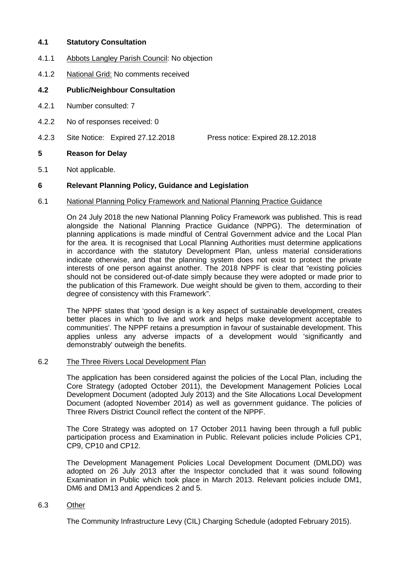# **4.1 Statutory Consultation**

- 4.1.1 Abbots Langley Parish Council: No objection
- 4.1.2 National Grid: No comments received

# **4.2 Public/Neighbour Consultation**

- 4.2.1 Number consulted: 7
- 4.2.2 No of responses received: 0
- 4.2.3 Site Notice: Expired 27.12.2018 Press notice: Expired 28.12.2018

# **5 Reason for Delay**

5.1 Not applicable.

# **6 Relevant Planning Policy, Guidance and Legislation**

### 6.1 National Planning Policy Framework and National Planning Practice Guidance

On 24 July 2018 the new National Planning Policy Framework was published. This is read alongside the National Planning Practice Guidance (NPPG). The determination of planning applications is made mindful of Central Government advice and the Local Plan for the area. It is recognised that Local Planning Authorities must determine applications in accordance with the statutory Development Plan, unless material considerations indicate otherwise, and that the planning system does not exist to protect the private interests of one person against another. The 2018 NPPF is clear that "existing policies should not be considered out-of-date simply because they were adopted or made prior to the publication of this Framework. Due weight should be given to them, according to their degree of consistency with this Framework".

The NPPF states that 'good design is a key aspect of sustainable development, creates better places in which to live and work and helps make development acceptable to communities'. The NPPF retains a presumption in favour of sustainable development. This applies unless any adverse impacts of a development would 'significantly and demonstrably' outweigh the benefits.

# 6.2 The Three Rivers Local Development Plan

The application has been considered against the policies of the Local Plan, including the Core Strategy (adopted October 2011), the Development Management Policies Local Development Document (adopted July 2013) and the Site Allocations Local Development Document (adopted November 2014) as well as government guidance. The policies of Three Rivers District Council reflect the content of the NPPF.

The Core Strategy was adopted on 17 October 2011 having been through a full public participation process and Examination in Public. Relevant policies include Policies CP1, CP9, CP10 and CP12.

The Development Management Policies Local Development Document (DMLDD) was adopted on 26 July 2013 after the Inspector concluded that it was sound following Examination in Public which took place in March 2013. Relevant policies include DM1, DM6 and DM13 and Appendices 2 and 5.

#### 6.3 Other

The Community Infrastructure Levy (CIL) Charging Schedule (adopted February 2015).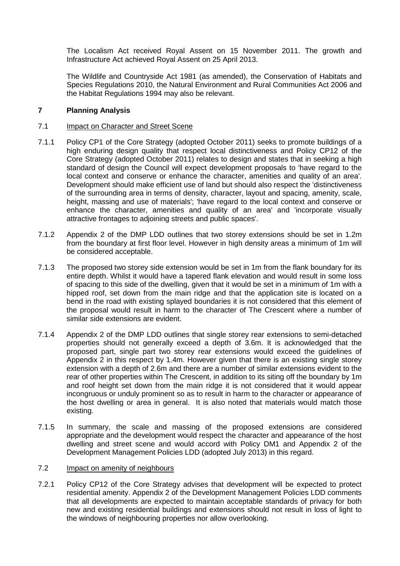The Localism Act received Royal Assent on 15 November 2011. The growth and Infrastructure Act achieved Royal Assent on 25 April 2013.

The Wildlife and Countryside Act 1981 (as amended), the Conservation of Habitats and Species Regulations 2010, the Natural Environment and Rural Communities Act 2006 and the Habitat Regulations 1994 may also be relevant.

# **7 Planning Analysis**

#### 7.1 Impact on Character and Street Scene

- 7.1.1 Policy CP1 of the Core Strategy (adopted October 2011) seeks to promote buildings of a high enduring design quality that respect local distinctiveness and Policy CP12 of the Core Strategy (adopted October 2011) relates to design and states that in seeking a high standard of design the Council will expect development proposals to 'have regard to the local context and conserve or enhance the character, amenities and quality of an area'. Development should make efficient use of land but should also respect the 'distinctiveness of the surrounding area in terms of density, character, layout and spacing, amenity, scale, height, massing and use of materials'; 'have regard to the local context and conserve or enhance the character, amenities and quality of an area' and 'incorporate visually attractive frontages to adjoining streets and public spaces'.
- 7.1.2 Appendix 2 of the DMP LDD outlines that two storey extensions should be set in 1.2m from the boundary at first floor level. However in high density areas a minimum of 1m will be considered acceptable.
- 7.1.3 The proposed two storey side extension would be set in 1m from the flank boundary for its entire depth. Whilst it would have a tapered flank elevation and would result in some loss of spacing to this side of the dwelling, given that it would be set in a minimum of 1m with a hipped roof, set down from the main ridge and that the application site is located on a bend in the road with existing splayed boundaries it is not considered that this element of the proposal would result in harm to the character of The Crescent where a number of similar side extensions are evident.
- 7.1.4 Appendix 2 of the DMP LDD outlines that single storey rear extensions to semi-detached properties should not generally exceed a depth of 3.6m. It is acknowledged that the proposed part, single part two storey rear extensions would exceed the guidelines of Appendix 2 in this respect by 1.4m. However given that there is an existing single storey extension with a depth of 2.6m and there are a number of similar extensions evident to the rear of other properties within The Crescent, in addition to its siting off the boundary by 1m and roof height set down from the main ridge it is not considered that it would appear incongruous or unduly prominent so as to result in harm to the character or appearance of the host dwelling or area in general. It is also noted that materials would match those existing.
- 7.1.5 In summary, the scale and massing of the proposed extensions are considered appropriate and the development would respect the character and appearance of the host dwelling and street scene and would accord with Policy DM1 and Appendix 2 of the Development Management Policies LDD (adopted July 2013) in this regard.

#### 7.2 Impact on amenity of neighbours

7.2.1 Policy CP12 of the Core Strategy advises that development will be expected to protect residential amenity. Appendix 2 of the Development Management Policies LDD comments that all developments are expected to maintain acceptable standards of privacy for both new and existing residential buildings and extensions should not result in loss of light to the windows of neighbouring properties nor allow overlooking.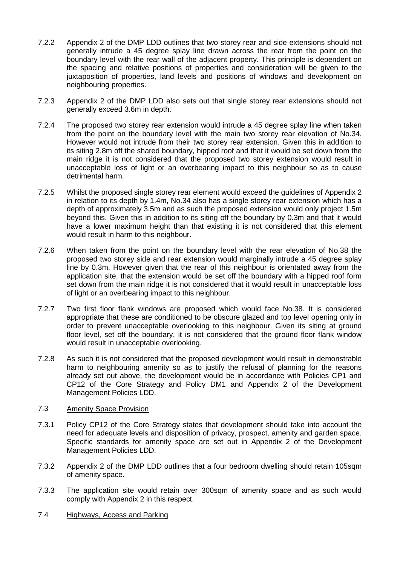- 7.2.2 Appendix 2 of the DMP LDD outlines that two storey rear and side extensions should not generally intrude a 45 degree splay line drawn across the rear from the point on the boundary level with the rear wall of the adjacent property. This principle is dependent on the spacing and relative positions of properties and consideration will be given to the juxtaposition of properties, land levels and positions of windows and development on neighbouring properties.
- 7.2.3 Appendix 2 of the DMP LDD also sets out that single storey rear extensions should not generally exceed 3.6m in depth.
- 7.2.4 The proposed two storey rear extension would intrude a 45 degree splay line when taken from the point on the boundary level with the main two storey rear elevation of No.34. However would not intrude from their two storey rear extension. Given this in addition to its siting 2.8m off the shared boundary, hipped roof and that it would be set down from the main ridge it is not considered that the proposed two storey extension would result in unacceptable loss of light or an overbearing impact to this neighbour so as to cause detrimental harm.
- 7.2.5 Whilst the proposed single storey rear element would exceed the guidelines of Appendix 2 in relation to its depth by 1.4m, No.34 also has a single storey rear extension which has a depth of approximately 3.5m and as such the proposed extension would only project 1.5m beyond this. Given this in addition to its siting off the boundary by 0.3m and that it would have a lower maximum height than that existing it is not considered that this element would result in harm to this neighbour.
- 7.2.6 When taken from the point on the boundary level with the rear elevation of No.38 the proposed two storey side and rear extension would marginally intrude a 45 degree splay line by 0.3m. However given that the rear of this neighbour is orientated away from the application site, that the extension would be set off the boundary with a hipped roof form set down from the main ridge it is not considered that it would result in unacceptable loss of light or an overbearing impact to this neighbour.
- 7.2.7 Two first floor flank windows are proposed which would face No.38. It is considered appropriate that these are conditioned to be obscure glazed and top level opening only in order to prevent unacceptable overlooking to this neighbour. Given its siting at ground floor level, set off the boundary, it is not considered that the ground floor flank window would result in unacceptable overlooking.
- 7.2.8 As such it is not considered that the proposed development would result in demonstrable harm to neighbouring amenity so as to justify the refusal of planning for the reasons already set out above, the development would be in accordance with Policies CP1 and CP12 of the Core Strategy and Policy DM1 and Appendix 2 of the Development Management Policies LDD.

# 7.3 Amenity Space Provision

- 7.3.1 Policy CP12 of the Core Strategy states that development should take into account the need for adequate levels and disposition of privacy, prospect, amenity and garden space. Specific standards for amenity space are set out in Appendix 2 of the Development Management Policies LDD.
- 7.3.2 Appendix 2 of the DMP LDD outlines that a four bedroom dwelling should retain 105sqm of amenity space.
- 7.3.3 The application site would retain over 300sqm of amenity space and as such would comply with Appendix 2 in this respect.
- 7.4 Highways, Access and Parking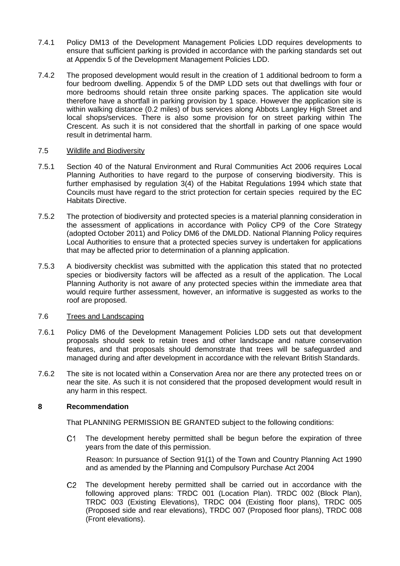- 7.4.1 Policy DM13 of the Development Management Policies LDD requires developments to ensure that sufficient parking is provided in accordance with the parking standards set out at Appendix 5 of the Development Management Policies LDD.
- 7.4.2 The proposed development would result in the creation of 1 additional bedroom to form a four bedroom dwelling. Appendix 5 of the DMP LDD sets out that dwellings with four or more bedrooms should retain three onsite parking spaces. The application site would therefore have a shortfall in parking provision by 1 space. However the application site is within walking distance (0.2 miles) of bus services along Abbots Langley High Street and local shops/services. There is also some provision for on street parking within The Crescent. As such it is not considered that the shortfall in parking of one space would result in detrimental harm.

### 7.5 Wildlife and Biodiversity

- 7.5.1 Section 40 of the Natural Environment and Rural Communities Act 2006 requires Local Planning Authorities to have regard to the purpose of conserving biodiversity. This is further emphasised by regulation 3(4) of the Habitat Regulations 1994 which state that Councils must have regard to the strict protection for certain species required by the EC Habitats Directive.
- 7.5.2 The protection of biodiversity and protected species is a material planning consideration in the assessment of applications in accordance with Policy CP9 of the Core Strategy (adopted October 2011) and Policy DM6 of the DMLDD. National Planning Policy requires Local Authorities to ensure that a protected species survey is undertaken for applications that may be affected prior to determination of a planning application.
- 7.5.3 A biodiversity checklist was submitted with the application this stated that no protected species or biodiversity factors will be affected as a result of the application. The Local Planning Authority is not aware of any protected species within the immediate area that would require further assessment, however, an informative is suggested as works to the roof are proposed.

#### 7.6 Trees and Landscaping

- 7.6.1 Policy DM6 of the Development Management Policies LDD sets out that development proposals should seek to retain trees and other landscape and nature conservation features, and that proposals should demonstrate that trees will be safeguarded and managed during and after development in accordance with the relevant British Standards.
- 7.6.2 The site is not located within a Conservation Area nor are there any protected trees on or near the site. As such it is not considered that the proposed development would result in any harm in this respect.

# **8 Recommendation**

That PLANNING PERMISSION BE GRANTED subject to the following conditions:

 $C1$ The development hereby permitted shall be begun before the expiration of three years from the date of this permission.

Reason: In pursuance of Section 91(1) of the Town and Country Planning Act 1990 and as amended by the Planning and Compulsory Purchase Act 2004

The development hereby permitted shall be carried out in accordance with the  $C2$ following approved plans: TRDC 001 (Location Plan). TRDC 002 (Block Plan), TRDC 003 (Existing Elevations), TRDC 004 (Existing floor plans), TRDC 005 (Proposed side and rear elevations), TRDC 007 (Proposed floor plans), TRDC 008 (Front elevations).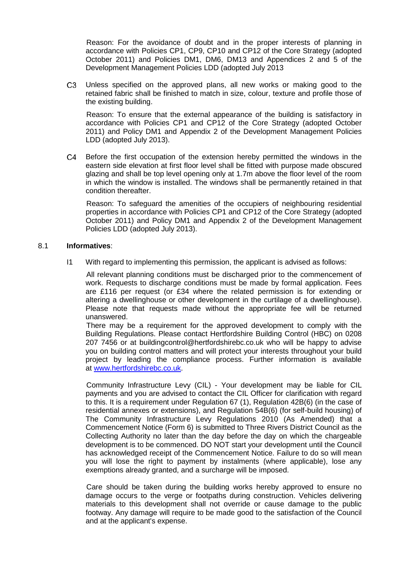Reason: For the avoidance of doubt and in the proper interests of planning in accordance with Policies CP1, CP9, CP10 and CP12 of the Core Strategy (adopted October 2011) and Policies DM1, DM6, DM13 and Appendices 2 and 5 of the Development Management Policies LDD (adopted July 2013

Unless specified on the approved plans, all new works or making good to the C<sub>3</sub> retained fabric shall be finished to match in size, colour, texture and profile those of the existing building.

Reason: To ensure that the external appearance of the building is satisfactory in accordance with Policies CP1 and CP12 of the Core Strategy (adopted October 2011) and Policy DM1 and Appendix 2 of the Development Management Policies LDD (adopted July 2013).

 $C4$ Before the first occupation of the extension hereby permitted the windows in the eastern side elevation at first floor level shall be fitted with purpose made obscured glazing and shall be top level opening only at 1.7m above the floor level of the room in which the window is installed. The windows shall be permanently retained in that condition thereafter.

Reason: To safeguard the amenities of the occupiers of neighbouring residential properties in accordance with Policies CP1 and CP12 of the Core Strategy (adopted October 2011) and Policy DM1 and Appendix 2 of the Development Management Policies LDD (adopted July 2013).

### 8.1 **Informatives**:

I1 With regard to implementing this permission, the applicant is advised as follows:

All relevant planning conditions must be discharged prior to the commencement of work. Requests to discharge conditions must be made by formal application. Fees are £116 per request (or £34 where the related permission is for extending or altering a dwellinghouse or other development in the curtilage of a dwellinghouse). Please note that requests made without the appropriate fee will be returned unanswered.

There may be a requirement for the approved development to comply with the Building Regulations. Please contact Hertfordshire Building Control (HBC) on 0208 207 7456 or at buildingcontrol@hertfordshirebc.co.uk who will be happy to advise you on building control matters and will protect your interests throughout your build project by leading the compliance process. Further information is available at [www.hertfordshirebc.co.uk.](http://www.hertfordshirebc.co.uk/)

Community Infrastructure Levy (CIL) - Your development may be liable for CIL payments and you are advised to contact the CIL Officer for clarification with regard to this. It is a requirement under Regulation 67 (1), Regulation 42B(6) (in the case of residential annexes or extensions), and Regulation 54B(6) (for self-build housing) of The Community Infrastructure Levy Regulations 2010 (As Amended) that a Commencement Notice (Form 6) is submitted to Three Rivers District Council as the Collecting Authority no later than the day before the day on which the chargeable development is to be commenced. DO NOT start your development until the Council has acknowledged receipt of the Commencement Notice. Failure to do so will mean you will lose the right to payment by instalments (where applicable), lose any exemptions already granted, and a surcharge will be imposed.

Care should be taken during the building works hereby approved to ensure no damage occurs to the verge or footpaths during construction. Vehicles delivering materials to this development shall not override or cause damage to the public footway. Any damage will require to be made good to the satisfaction of the Council and at the applicant's expense.